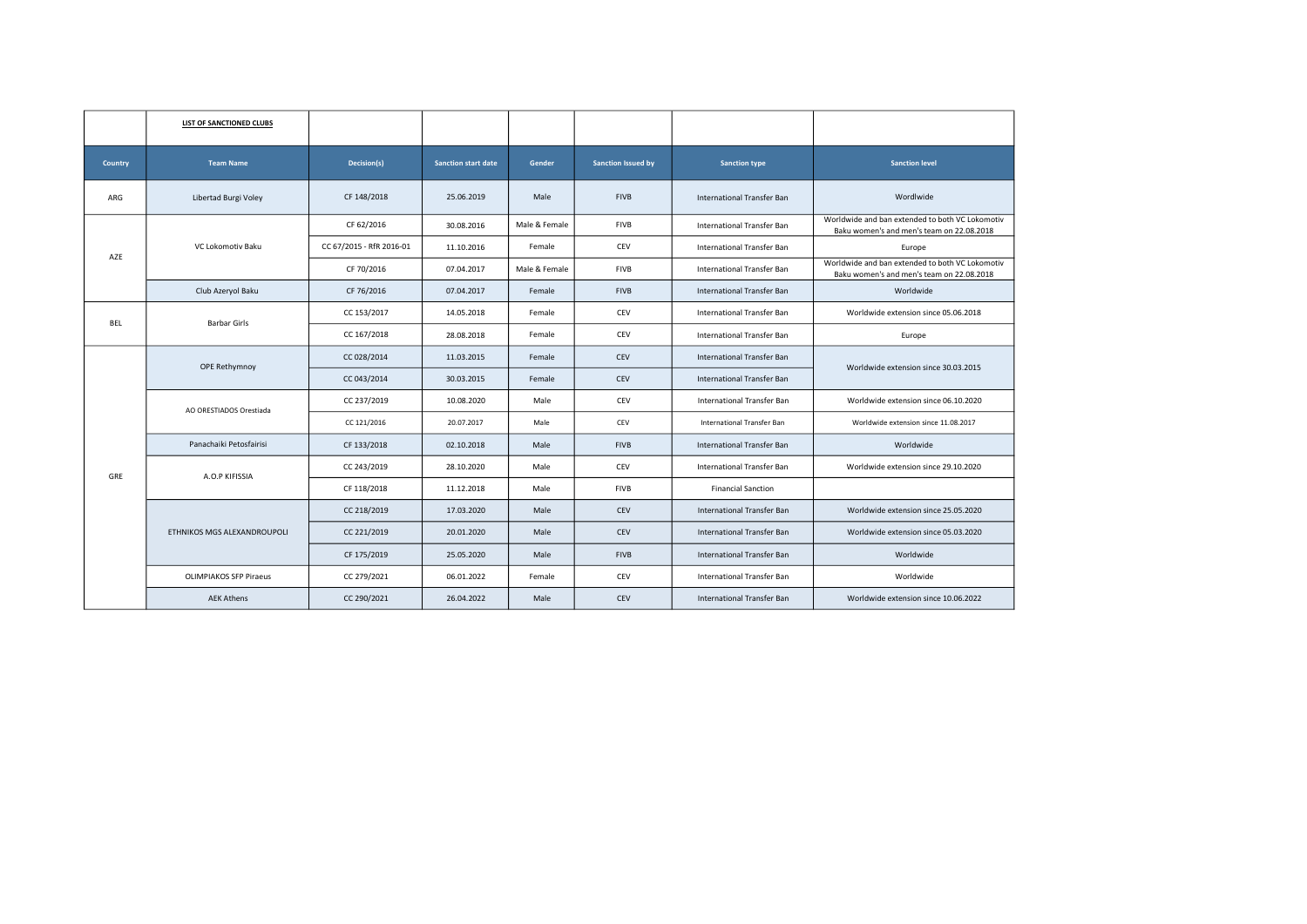|            | LIST OF SANCTIONED CLUBS      |                          |                            |               |                           |                                   |                                                                                              |
|------------|-------------------------------|--------------------------|----------------------------|---------------|---------------------------|-----------------------------------|----------------------------------------------------------------------------------------------|
| Country    | <b>Team Name</b>              | Decision(s)              | <b>Sanction start date</b> | Gender        | <b>Sanction Issued by</b> | <b>Sanction type</b>              | <b>Sanction level</b>                                                                        |
| ARG        | Libertad Burgi Voley          | CF 148/2018              | 25.06.2019                 | Male          | <b>FIVB</b>               | <b>International Transfer Ban</b> | Wordlwide                                                                                    |
|            |                               | CF 62/2016               | 30.08.2016                 | Male & Female | <b>FIVB</b>               | International Transfer Ban        | Worldwide and ban extended to both VC Lokomotiv<br>Baku women's and men's team on 22.08.2018 |
| AZE        | VC Lokomotiv Baku             | CC 67/2015 - RfR 2016-01 | 11.10.2016                 | Female        | CEV                       | International Transfer Ban        | Europe                                                                                       |
|            |                               | CF 70/2016               | 07.04.2017                 | Male & Female | <b>FIVB</b>               | International Transfer Ban        | Worldwide and ban extended to both VC Lokomotiv<br>Baku women's and men's team on 22.08.2018 |
|            | Club Azeryol Baku             | CF 76/2016               | 07.04.2017                 | Female        | <b>FIVB</b>               | International Transfer Ban        | Worldwide                                                                                    |
| <b>BEL</b> | <b>Barbar Girls</b>           | CC 153/2017              | 14.05.2018                 | Female        | CEV                       | International Transfer Ban        | Worldwide extension since 05.06.2018                                                         |
|            |                               | CC 167/2018              | 28.08.2018                 | Female        | CEV                       | <b>International Transfer Ban</b> | Europe                                                                                       |
|            | OPE Rethymnoy                 | CC 028/2014              | 11.03.2015                 | Female        | CEV                       | International Transfer Ban        | Worldwide extension since 30.03.2015                                                         |
|            |                               | CC 043/2014              | 30.03.2015                 | Female        | CEV                       | International Transfer Ban        |                                                                                              |
|            | AO ORESTIADOS Orestiada       | CC 237/2019              | 10.08.2020                 | Male          | CEV                       | International Transfer Ban        | Worldwide extension since 06.10.2020                                                         |
|            |                               | CC 121/2016              | 20.07.2017                 | Male          | CEV                       | International Transfer Ban        | Worldwide extension since 11.08.2017                                                         |
|            | Panachaiki Petosfairisi       | CF 133/2018              | 02.10.2018                 | Male          | <b>FIVB</b>               | <b>International Transfer Ban</b> | Worldwide                                                                                    |
| GRE        | A.O.P KIFISSIA                | CC 243/2019              | 28.10.2020                 | Male          | CEV                       | International Transfer Ban        | Worldwide extension since 29.10.2020                                                         |
|            |                               | CF 118/2018              | 11.12.2018                 | Male          | <b>FIVB</b>               | <b>Financial Sanction</b>         |                                                                                              |
|            |                               | CC 218/2019              | 17.03.2020                 | Male          | CEV                       | International Transfer Ban        | Worldwide extension since 25.05.2020                                                         |
|            | ETHNIKOS MGS ALEXANDROUPOLI   | CC 221/2019              | 20.01.2020                 | Male          | CEV                       | International Transfer Ban        | Worldwide extension since 05.03.2020                                                         |
|            |                               | CF 175/2019              | 25.05.2020                 | Male          | <b>FIVB</b>               | International Transfer Ban        | Worldwide                                                                                    |
|            | <b>OLIMPIAKOS SFP Piraeus</b> | CC 279/2021              | 06.01.2022                 | Female        | CEV                       | International Transfer Ban        | Worldwide                                                                                    |
|            | <b>AEK Athens</b>             | CC 290/2021              | 26.04.2022                 | Male          | CEV                       | International Transfer Ban        | Worldwide extension since 10.06.2022                                                         |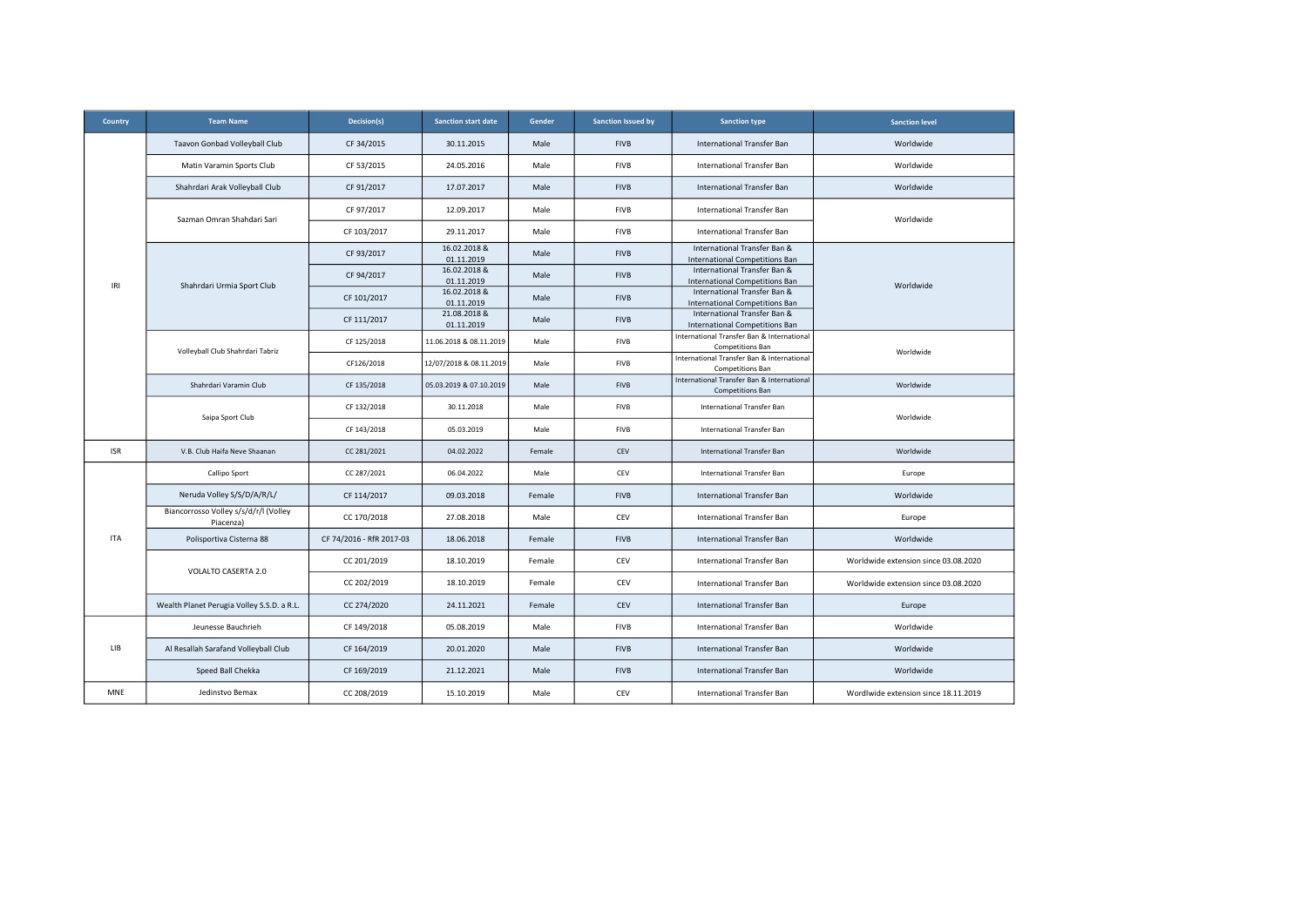| <b>Country</b> | <b>Team Name</b>                                   | Decision(s)              | <b>Sanction start date</b> | Gender | <b>Sanction Issued by</b> | <b>Sanction type</b>                                                  | <b>Sanction level</b>                |
|----------------|----------------------------------------------------|--------------------------|----------------------------|--------|---------------------------|-----------------------------------------------------------------------|--------------------------------------|
|                | Taavon Gonbad Volleyball Club                      | CF 34/2015               | 30.11.2015                 | Male   | <b>FIVB</b>               | International Transfer Ban                                            | Worldwide                            |
|                | Matin Varamin Sports Club                          | CF 53/2015               | 24.05.2016                 | Male   | <b>FIVB</b>               | International Transfer Ban                                            | Worldwide                            |
|                | Shahrdari Arak Volleyball Club                     | CF 91/2017               | 17.07.2017                 | Male   | <b>FIVB</b>               | International Transfer Ban                                            | Worldwide                            |
|                | Sazman Omran Shahdari Sari                         | CF 97/2017               | 12.09.2017                 | Male   | <b>FIVB</b>               | International Transfer Ban                                            | Worldwide                            |
|                |                                                    | CF 103/2017              | 29.11.2017                 | Male   | <b>FIVB</b>               | International Transfer Ban                                            |                                      |
|                |                                                    | CF 93/2017               | 16.02.2018 &<br>01.11.2019 | Male   | <b>FIVB</b>               | International Transfer Ban &<br><b>International Competitions Ban</b> |                                      |
| IRI            | Shahrdari Urmia Sport Club                         | CF 94/2017               | 16.02.2018 &<br>01.11.2019 | Male   | <b>FIVB</b>               | International Transfer Ban &<br><b>International Competitions Ban</b> | Worldwide                            |
|                |                                                    | CF 101/2017              | 16.02.2018 &<br>01.11.2019 | Male   | <b>FIVB</b>               | International Transfer Ban &<br>International Competitions Ban        |                                      |
|                |                                                    | CF 111/2017              | 21.08.2018 &<br>01.11.2019 | Male   | <b>FIVB</b>               | International Transfer Ban &<br><b>International Competitions Ban</b> |                                      |
|                | Volleyball Club Shahrdari Tabriz                   | CF 125/2018              | 11.06.2018 & 08.11.2019    | Male   | <b>FIVB</b>               | International Transfer Ban & International<br><b>Competitions Ban</b> | Worldwide                            |
|                |                                                    | CF126/2018               | 12/07/2018 & 08.11.2019    | Male   | <b>FIVB</b>               | International Transfer Ban & International<br><b>Competitions Ban</b> |                                      |
|                | Shahrdari Varamin Club                             | CF 135/2018              | 05.03.2019 & 07.10.2019    | Male   | <b>FIVB</b>               | International Transfer Ban & International<br><b>Competitions Ban</b> | Worldwide                            |
|                | Saipa Sport Club                                   | CF 132/2018              | 30.11.2018                 | Male   | FIVB                      | International Transfer Ban                                            |                                      |
|                |                                                    | CF 143/2018              | 05.03.2019                 | Male   | FIVB                      | International Transfer Ban                                            | Worldwide                            |
| <b>ISR</b>     | V.B. Club Haifa Neve Shaanan                       | CC 281/2021              | 04.02.2022                 | Female | CEV                       | International Transfer Ban                                            | Worldwide                            |
|                | Callipo Sport                                      | CC 287/2021              | 06.04.2022                 | Male   | CEV                       | International Transfer Ban                                            | Europe                               |
|                | Neruda Volley S/S/D/A/R/L/                         | CF 114/2017              | 09.03.2018                 | Female | <b>FIVB</b>               | International Transfer Ban                                            | Worldwide                            |
|                | Biancorrosso Volley s/s/d/r/l (Volley<br>Piacenza) | CC 170/2018              | 27.08.2018                 | Male   | CEV                       | International Transfer Ban                                            | Europe                               |
| <b>ITA</b>     | Polisportiva Cisterna 88                           | CF 74/2016 - RfR 2017-03 | 18.06.2018                 | Female | <b>FIVB</b>               | International Transfer Ban                                            | Worldwide                            |
|                | VOLALTO CASERTA 2.0                                | CC 201/2019              | 18.10.2019                 | Female | CEV                       | International Transfer Ban                                            | Worldwide extension since 03.08.2020 |
|                |                                                    | CC 202/2019              | 18.10.2019                 | Female | CEV                       | International Transfer Ban                                            | Worldwide extension since 03.08.2020 |
|                | Wealth Planet Perugia Volley S.S.D. a R.L.         | CC 274/2020              | 24.11.2021                 | Female | CEV                       | International Transfer Ban                                            | Europe                               |
|                | Jeunesse Bauchrieh                                 | CF 149/2018              | 05.08.2019                 | Male   | <b>FIVB</b>               | International Transfer Ban                                            | Worldwide                            |
| LIB            | Al Resallah Sarafand Volleyball Club               | CF 164/2019              | 20.01.2020                 | Male   | <b>FIVB</b>               | International Transfer Ban                                            | Worldwide                            |
|                | Speed Ball Chekka                                  | CF 169/2019              | 21.12.2021                 | Male   | <b>FIVB</b>               | International Transfer Ban                                            | Worldwide                            |
| <b>MNE</b>     | Jedinstvo Bemax                                    | CC 208/2019              | 15.10.2019                 | Male   | CEV                       | International Transfer Ban                                            | Wordlwide extension since 18.11.2019 |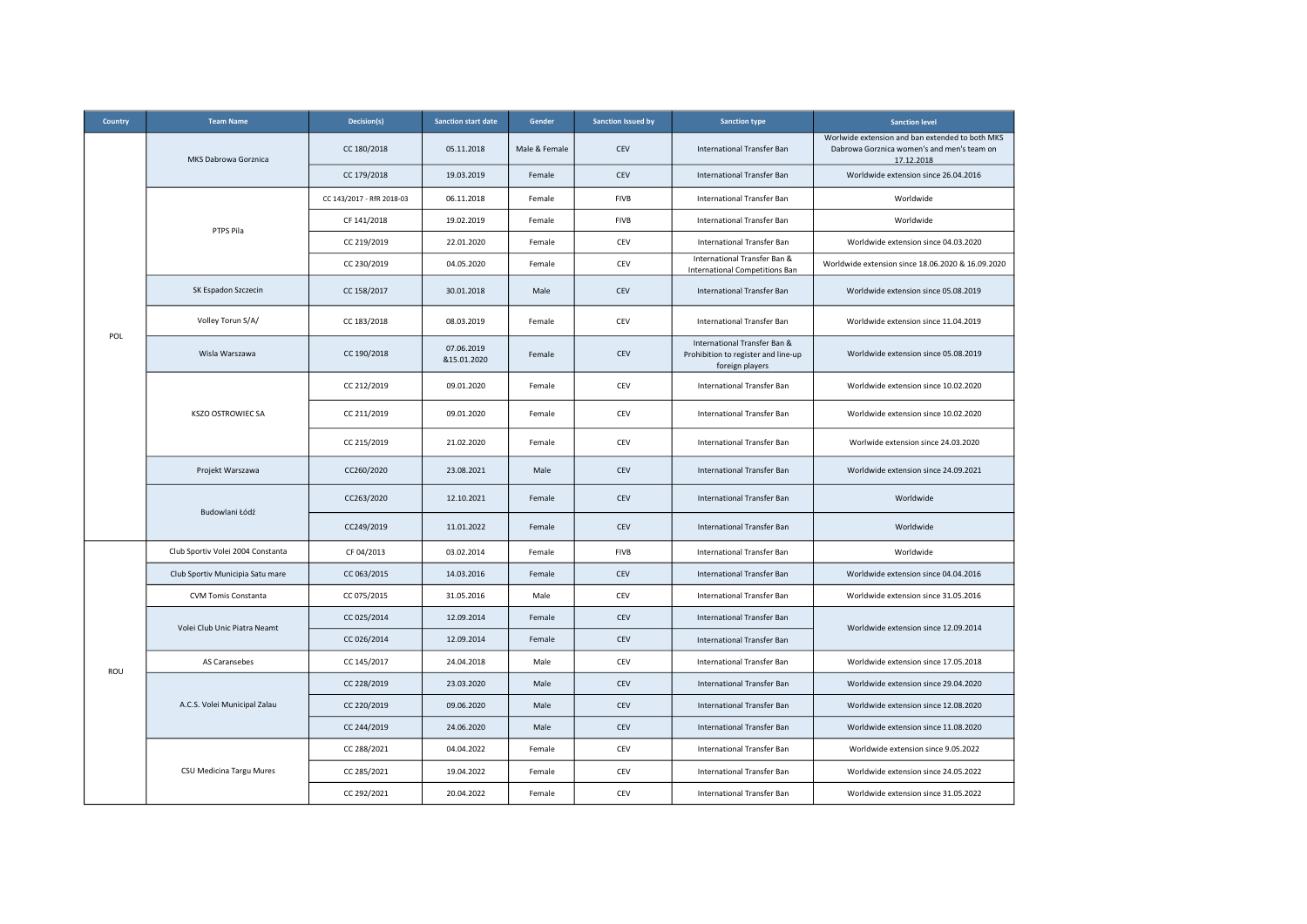| Country | <b>Team Name</b>                  | Decision(s)               | <b>Sanction start date</b> | Gender        | <b>Sanction Issued by</b> | <b>Sanction type</b>                                                                   | <b>Sanction level</b>                                                                                       |
|---------|-----------------------------------|---------------------------|----------------------------|---------------|---------------------------|----------------------------------------------------------------------------------------|-------------------------------------------------------------------------------------------------------------|
|         | MKS Dabrowa Gorznica              | CC 180/2018               | 05.11.2018                 | Male & Female | CEV                       | International Transfer Ban                                                             | Worlwide extension and ban extended to both MKS<br>Dabrowa Gorznica women's and men's team on<br>17.12.2018 |
|         |                                   | CC 179/2018               | 19.03.2019                 | Female        | CEV                       | International Transfer Ban                                                             | Worldwide extension since 26.04.2016                                                                        |
|         |                                   | CC 143/2017 - RfR 2018-03 | 06.11.2018                 | Female        | FIVB                      | International Transfer Ban                                                             | Worldwide                                                                                                   |
|         | PTPS Pila                         | CF 141/2018               | 19.02.2019                 | Female        | <b>FIVB</b>               | International Transfer Ban                                                             | Worldwide                                                                                                   |
|         |                                   | CC 219/2019               | 22.01.2020                 | Female        | CEV                       | International Transfer Ban                                                             | Worldwide extension since 04.03.2020                                                                        |
|         |                                   | CC 230/2019               | 04.05.2020                 | Female        | CEV                       | International Transfer Ban &<br><b>International Competitions Ban</b>                  | Worldwide extension since 18.06.2020 & 16.09.2020                                                           |
|         | SK Espadon Szczecin               | CC 158/2017               | 30.01.2018                 | Male          | CEV                       | International Transfer Ban                                                             | Worldwide extension since 05.08.2019                                                                        |
| POL     | Volley Torun S/A/                 | CC 183/2018               | 08.03.2019                 | Female        | CEV                       | International Transfer Ban                                                             | Worldwide extension since 11.04.2019                                                                        |
|         | Wisla Warszawa                    | CC 190/2018               | 07.06.2019<br>&15.01.2020  | Female        | CEV                       | International Transfer Ban &<br>Prohibition to register and line-up<br>foreign players | Worldwide extension since 05.08.2019                                                                        |
|         |                                   | CC 212/2019               | 09.01.2020                 | Female        | CEV                       | International Transfer Ban                                                             | Worldwide extension since 10.02.2020                                                                        |
|         | <b>KSZO OSTROWIEC SA</b>          | CC 211/2019               | 09.01.2020                 | Female        | CEV                       | International Transfer Ban                                                             | Worldwide extension since 10.02.2020                                                                        |
|         |                                   | CC 215/2019               | 21.02.2020                 | Female        | CEV                       | International Transfer Ban                                                             | Worlwide extension since 24.03.2020                                                                         |
|         | Projekt Warszawa                  | CC260/2020                | 23.08.2021                 | Male          | CEV                       | International Transfer Ban                                                             | Worldwide extension since 24.09.2021                                                                        |
|         | Budowlani Łódź                    | CC263/2020                | 12.10.2021                 | Female        | CEV                       | <b>International Transfer Ban</b>                                                      | Worldwide                                                                                                   |
|         |                                   | CC249/2019                | 11.01.2022                 | Female        | CEV                       | International Transfer Ban                                                             | Worldwide                                                                                                   |
|         | Club Sportiv Volei 2004 Constanta | CF 04/2013                | 03.02.2014                 | Female        | <b>FIVB</b>               | <b>International Transfer Ban</b>                                                      | Worldwide                                                                                                   |
|         | Club Sportiv Municipia Satu mare  | CC 063/2015               | 14.03.2016                 | Female        | CEV                       | International Transfer Ban                                                             | Worldwide extension since 04.04.2016                                                                        |
|         | <b>CVM Tomis Constanta</b>        | CC 075/2015               | 31.05.2016                 | Male          | CEV                       | <b>International Transfer Ban</b>                                                      | Worldwide extension since 31.05.2016                                                                        |
|         | Volei Club Unic Piatra Neamt      | CC 025/2014               | 12.09.2014                 | Female        | CEV                       | International Transfer Ban                                                             | Worldwide extension since 12.09.2014                                                                        |
|         |                                   | CC 026/2014               | 12.09.2014                 | Female        | CEV                       | International Transfer Ban                                                             |                                                                                                             |
| ROU     | AS Caransebes                     | CC 145/2017               | 24.04.2018                 | Male          | CEV                       | International Transfer Ban                                                             | Worldwide extension since 17.05.2018                                                                        |
|         |                                   | CC 228/2019               | 23.03.2020                 | Male          | CEV                       | International Transfer Ban                                                             | Worldwide extension since 29.04.2020                                                                        |
|         | A.C.S. Volei Municipal Zalau      | CC 220/2019               | 09.06.2020                 | Male          | CEV                       | International Transfer Ban                                                             | Worldwide extension since 12.08.2020                                                                        |
|         |                                   | CC 244/2019               | 24.06.2020                 | Male          | CEV                       | International Transfer Ban                                                             | Worldwide extension since 11.08.2020                                                                        |
|         |                                   | CC 288/2021               | 04.04.2022                 | Female        | CEV                       | International Transfer Ban                                                             | Worldwide extension since 9.05.2022                                                                         |
|         | CSU Medicina Targu Mures          | CC 285/2021               | 19.04.2022                 | Female        | CEV                       | International Transfer Ban                                                             | Worldwide extension since 24.05.2022                                                                        |
|         |                                   | CC 292/2021               | 20.04.2022                 | Female        | CEV                       | International Transfer Ban                                                             | Worldwide extension since 31.05.2022                                                                        |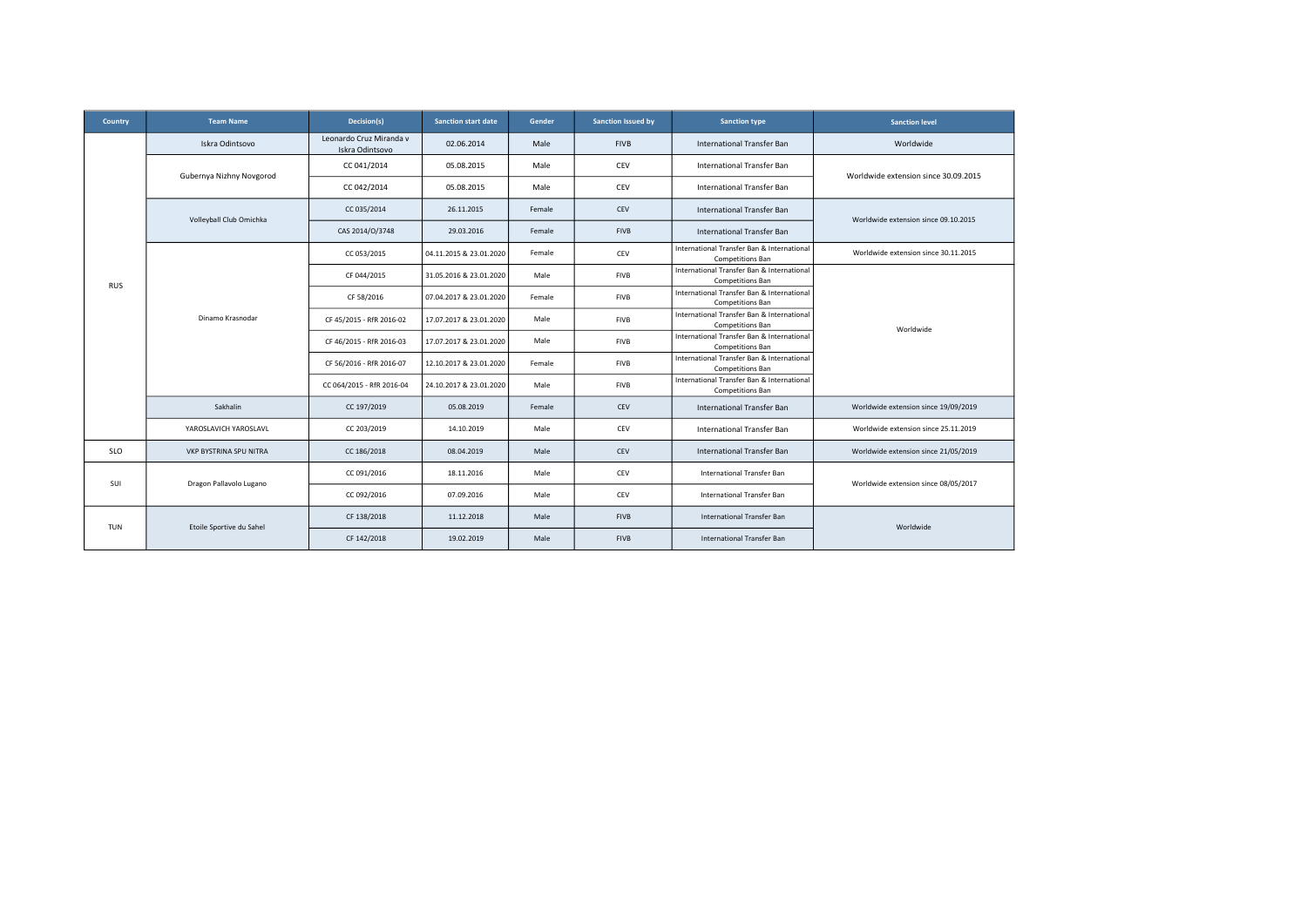| Country    | <b>Team Name</b>              | Decision(s)                                | <b>Sanction start date</b> | Gender | <b>Sanction Issued by</b> | <b>Sanction type</b>                                                  | <b>Sanction level</b>                |
|------------|-------------------------------|--------------------------------------------|----------------------------|--------|---------------------------|-----------------------------------------------------------------------|--------------------------------------|
|            | Iskra Odintsovo               | Leonardo Cruz Miranda v<br>Iskra Odintsovo | 02.06.2014                 | Male   | <b>FIVB</b>               | <b>International Transfer Ban</b>                                     | Worldwide                            |
|            | Gubernya Nizhny Novgorod      | CC 041/2014                                | 05.08.2015                 | Male   | CEV                       | International Transfer Ban                                            | Worldwide extension since 30.09.2015 |
|            |                               | CC 042/2014                                | 05.08.2015                 | Male   | CEV                       | International Transfer Ban                                            |                                      |
|            | Volleyball Club Omichka       | CC 035/2014                                | 26.11.2015                 | Female | CEV                       | International Transfer Ban                                            | Worldwide extension since 09.10.2015 |
| <b>RUS</b> |                               | CAS 2014/O/3748                            | 29.03.2016                 | Female | <b>FIVB</b>               | <b>International Transfer Ban</b>                                     |                                      |
|            |                               | CC 053/2015                                | 04.11.2015 & 23.01.2020    | Female | CEV                       | International Transfer Ban & International<br>Competitions Ban        | Worldwide extension since 30.11.2015 |
|            |                               | CF 044/2015                                | 31.05.2016 & 23.01.2020    | Male   | <b>FIVB</b>               | International Transfer Ban & International<br><b>Competitions Ban</b> |                                      |
|            | Dinamo Krasnodar              | CF 58/2016                                 | 07.04.2017 & 23.01.2020    | Female | FIVB                      | International Transfer Ban & International<br><b>Competitions Ban</b> |                                      |
|            |                               | CF 45/2015 - RfR 2016-02                   | 17.07.2017 & 23.01.2020    | Male   | <b>FIVB</b>               | International Transfer Ban & International<br>Competitions Ban        | Worldwide                            |
|            |                               | CF 46/2015 - RfR 2016-03                   | 17.07.2017 & 23.01.2020    | Male   | <b>FIVB</b>               | International Transfer Ban & International<br><b>Competitions Ban</b> |                                      |
|            |                               | CF 56/2016 - RfR 2016-07                   | 12.10.2017 & 23.01.2020    | Female | <b>FIVB</b>               | International Transfer Ban & International<br><b>Competitions Ban</b> |                                      |
|            |                               | CC 064/2015 - RfR 2016-04                  | 24.10.2017 & 23.01.2020    | Male   | <b>FIVB</b>               | International Transfer Ban & International<br>Competitions Ban        |                                      |
|            | Sakhalin                      | CC 197/2019                                | 05.08.2019                 | Female | CEV                       | <b>International Transfer Ban</b>                                     | Worldwide extension since 19/09/2019 |
|            | YAROSLAVICH YAROSLAVL         | CC 203/2019                                | 14.10.2019                 | Male   | CEV                       | International Transfer Ban                                            | Worldwide extension since 25.11.2019 |
| <b>SLO</b> | <b>VKP BYSTRINA SPU NITRA</b> | CC 186/2018                                | 08.04.2019                 | Male   | <b>CEV</b>                | International Transfer Ban                                            | Worldwide extension since 21/05/2019 |
| SUI        | Dragon Pallavolo Lugano       | CC 091/2016                                | 18.11.2016                 | Male   | CEV                       | International Transfer Ban                                            | Worldwide extension since 08/05/2017 |
|            |                               | CC 092/2016                                | 07.09.2016                 | Male   | CEV                       | International Transfer Ban                                            |                                      |
| <b>TUN</b> | Etoile Sportive du Sahel      | CF 138/2018                                | 11.12.2018                 | Male   | <b>FIVB</b>               | International Transfer Ban                                            | Worldwide                            |
|            |                               | CF 142/2018                                | 19.02.2019                 | Male   | <b>FIVB</b>               | International Transfer Ban                                            |                                      |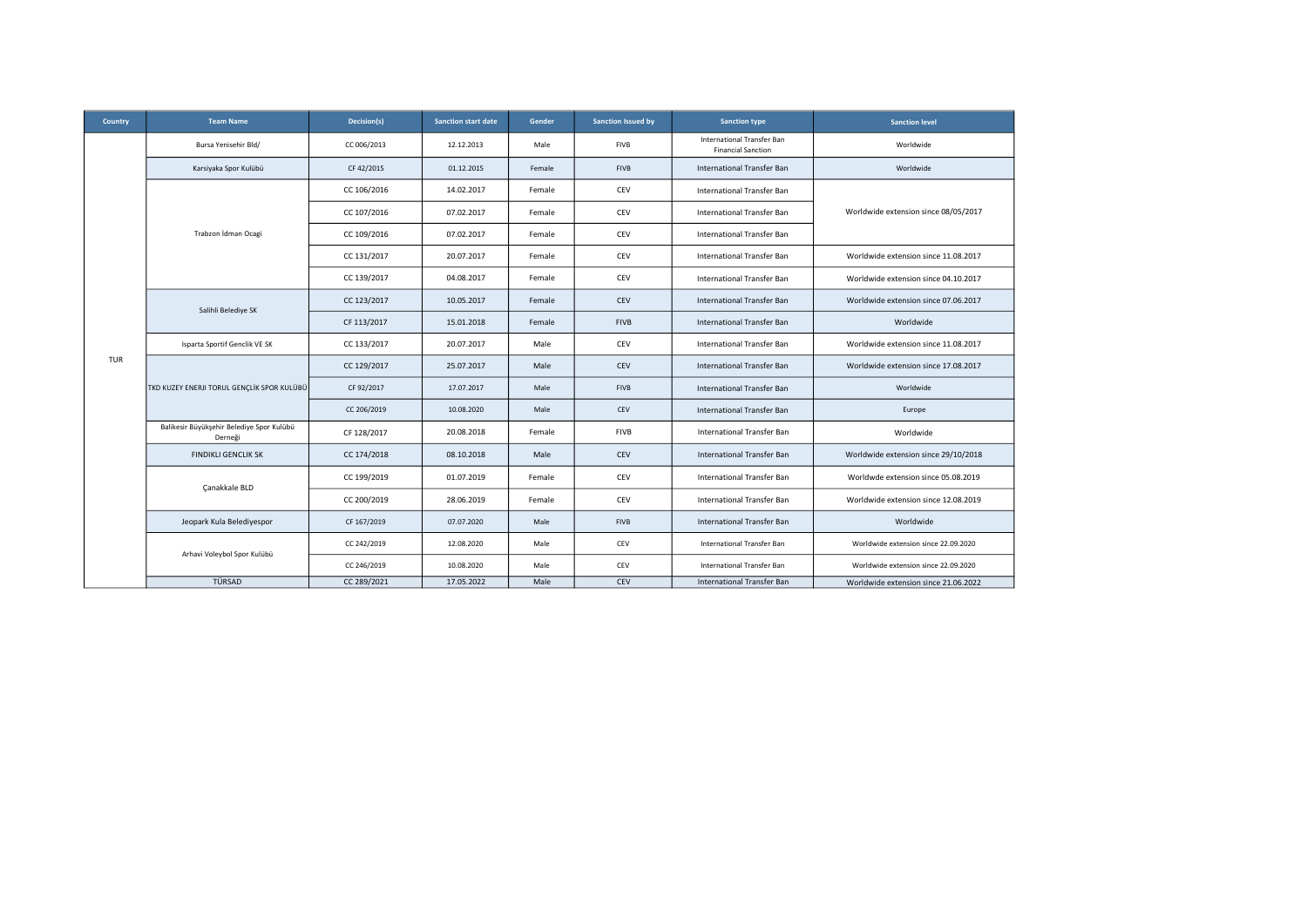| Country | <b>Team Name</b>                                     | Decision(s) | <b>Sanction start date</b> | Gender | Sanction Issued by | <b>Sanction type</b>                                    | <b>Sanction level</b>                |
|---------|------------------------------------------------------|-------------|----------------------------|--------|--------------------|---------------------------------------------------------|--------------------------------------|
|         | Bursa Yenisehir Bld/                                 | CC 006/2013 | 12.12.2013                 | Male   | <b>FIVB</b>        | International Transfer Ban<br><b>Financial Sanction</b> | Worldwide                            |
|         | Karsiyaka Spor Kulübü                                | CF 42/2015  | 01.12.2015                 | Female | <b>FIVB</b>        | International Transfer Ban                              | Worldwide                            |
|         |                                                      | CC 106/2016 | 14.02.2017                 | Female | CEV                | International Transfer Ban                              |                                      |
|         |                                                      | CC 107/2016 | 07.02.2017                 | Female | CEV                | International Transfer Ban                              | Worldwide extension since 08/05/2017 |
|         | Trabzon İdman Ocagi                                  | CC 109/2016 | 07.02.2017                 | Female | CEV                | <b>International Transfer Ban</b>                       |                                      |
|         |                                                      | CC 131/2017 | 20.07.2017                 | Female | CEV                | <b>International Transfer Ban</b>                       | Worldwide extension since 11.08.2017 |
|         |                                                      | CC 139/2017 | 04.08.2017                 | Female | CEV                | International Transfer Ban                              | Worldwide extension since 04.10.2017 |
|         | Salihli Belediye SK                                  | CC 123/2017 | 10.05.2017                 | Female | CEV                | International Transfer Ban                              | Worldwide extension since 07.06.2017 |
|         |                                                      | CF 113/2017 | 15.01.2018                 | Female | <b>FIVB</b>        | <b>International Transfer Ban</b>                       | Worldwide                            |
|         | Isparta Sportif Genclik VE SK                        | CC 133/2017 | 20.07.2017                 | Male   | CEV                | International Transfer Ban                              | Worldwide extension since 11.08.2017 |
| TUR     | TKD KUZEY ENERJI TORUL GENÇLİK SPOR KULÜBÜ           | CC 129/2017 | 25.07.2017                 | Male   | CEV                | International Transfer Ban                              | Worldwide extension since 17.08.2017 |
|         |                                                      | CF 92/2017  | 17.07.2017                 | Male   | <b>FIVB</b>        | International Transfer Ban                              | Worldwide                            |
|         |                                                      | CC 206/2019 | 10.08.2020                 | Male   | CEV                | <b>International Transfer Ban</b>                       | Europe                               |
|         | Balikesir Büyükşehir Belediye Spor Kulübü<br>Derneği | CF 128/2017 | 20.08.2018                 | Female | <b>FIVB</b>        | International Transfer Ban                              | Worldwide                            |
|         | <b>FINDIKLI GENCLIK SK</b>                           | CC 174/2018 | 08.10.2018                 | Male   | CEV                | <b>International Transfer Ban</b>                       | Worldwide extension since 29/10/2018 |
|         | Canakkale BLD                                        | CC 199/2019 | 01.07.2019                 | Female | <b>CEV</b>         | International Transfer Ban                              | Worldwde extension since 05.08.2019  |
|         |                                                      | CC 200/2019 | 28.06.2019                 | Female | CEV                | International Transfer Ban                              | Worldwide extension since 12.08.2019 |
|         | Jeopark Kula Belediyespor                            | CF 167/2019 | 07.07.2020                 | Male   | <b>FIVB</b>        | International Transfer Ban                              | Worldwide                            |
|         |                                                      | CC 242/2019 | 12.08.2020                 | Male   | CEV                | International Transfer Ban                              | Worldwide extension since 22.09.2020 |
|         | Arhavi Voleybol Spor Kulübü                          | CC 246/2019 | 10.08.2020                 | Male   | CEV                | International Transfer Ban                              | Worldwide extension since 22.09.2020 |
|         | TÜRSAD                                               | CC 289/2021 | 17.05.2022                 | Male   | <b>CEV</b>         | International Transfer Ban                              | Worldwide extension since 21.06.2022 |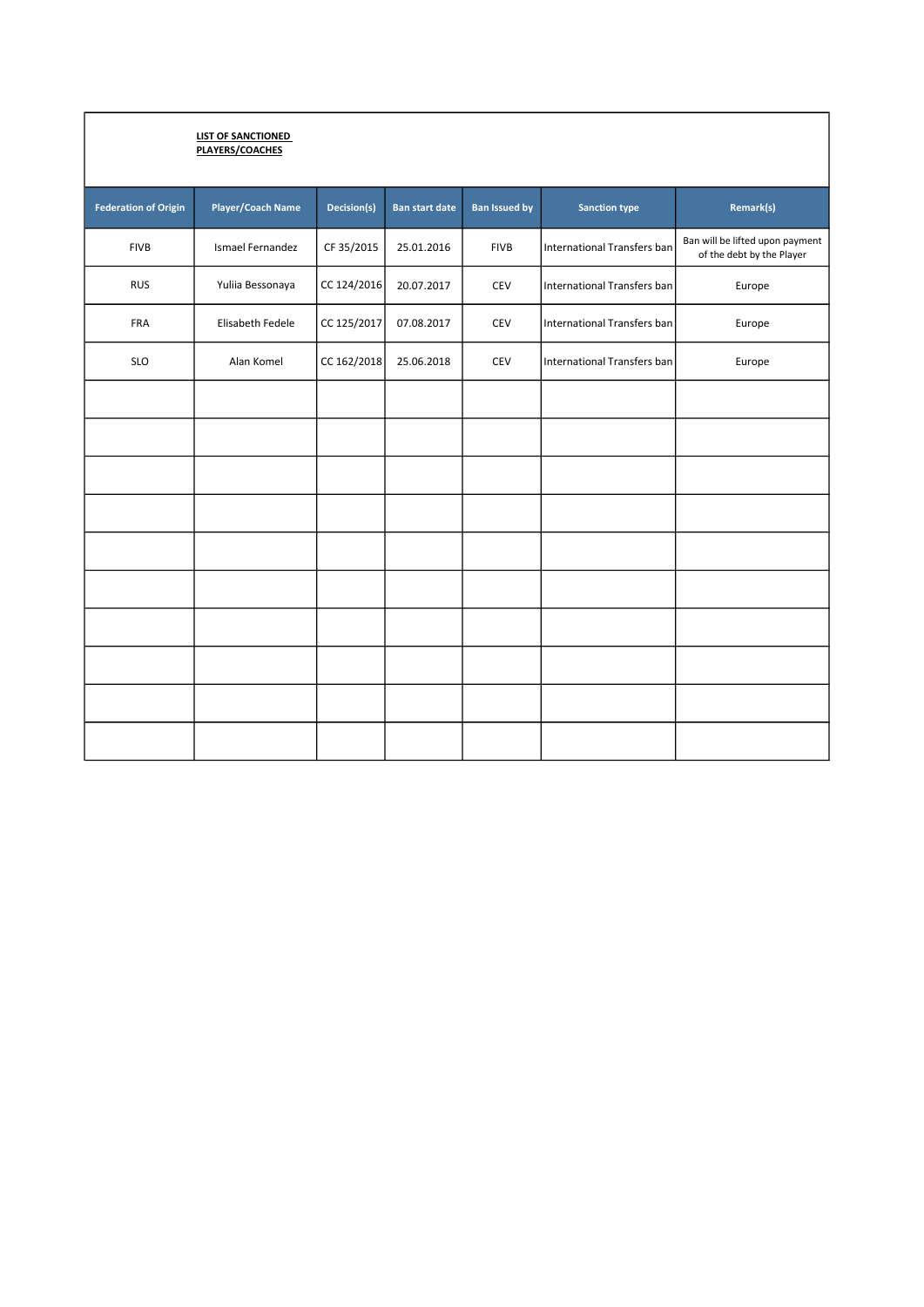|                             | <b>LIST OF SANCTIONED</b><br>PLAYERS/COACHES |             |                       |                      |                                    |                                                              |
|-----------------------------|----------------------------------------------|-------------|-----------------------|----------------------|------------------------------------|--------------------------------------------------------------|
| <b>Federation of Origin</b> | <b>Player/Coach Name</b>                     | Decision(s) | <b>Ban start date</b> | <b>Ban Issued by</b> | <b>Sanction type</b>               | Remark(s)                                                    |
| <b>FIVB</b>                 | Ismael Fernandez                             | CF 35/2015  | 25.01.2016            | <b>FIVB</b>          | International Transfers ban        | Ban will be lifted upon payment<br>of the debt by the Player |
| <b>RUS</b>                  | Yuliia Bessonaya                             | CC 124/2016 | 20.07.2017            | CEV                  | <b>International Transfers ban</b> | Europe                                                       |
| FRA                         | Elisabeth Fedele                             | CC 125/2017 | 07.08.2017            | CEV                  | <b>International Transfers ban</b> | Europe                                                       |
| <b>SLO</b>                  | Alan Komel                                   | CC 162/2018 | 25.06.2018            | CEV                  | International Transfers ban        | Europe                                                       |
|                             |                                              |             |                       |                      |                                    |                                                              |
|                             |                                              |             |                       |                      |                                    |                                                              |
|                             |                                              |             |                       |                      |                                    |                                                              |
|                             |                                              |             |                       |                      |                                    |                                                              |
|                             |                                              |             |                       |                      |                                    |                                                              |
|                             |                                              |             |                       |                      |                                    |                                                              |
|                             |                                              |             |                       |                      |                                    |                                                              |
|                             |                                              |             |                       |                      |                                    |                                                              |
|                             |                                              |             |                       |                      |                                    |                                                              |
|                             |                                              |             |                       |                      |                                    |                                                              |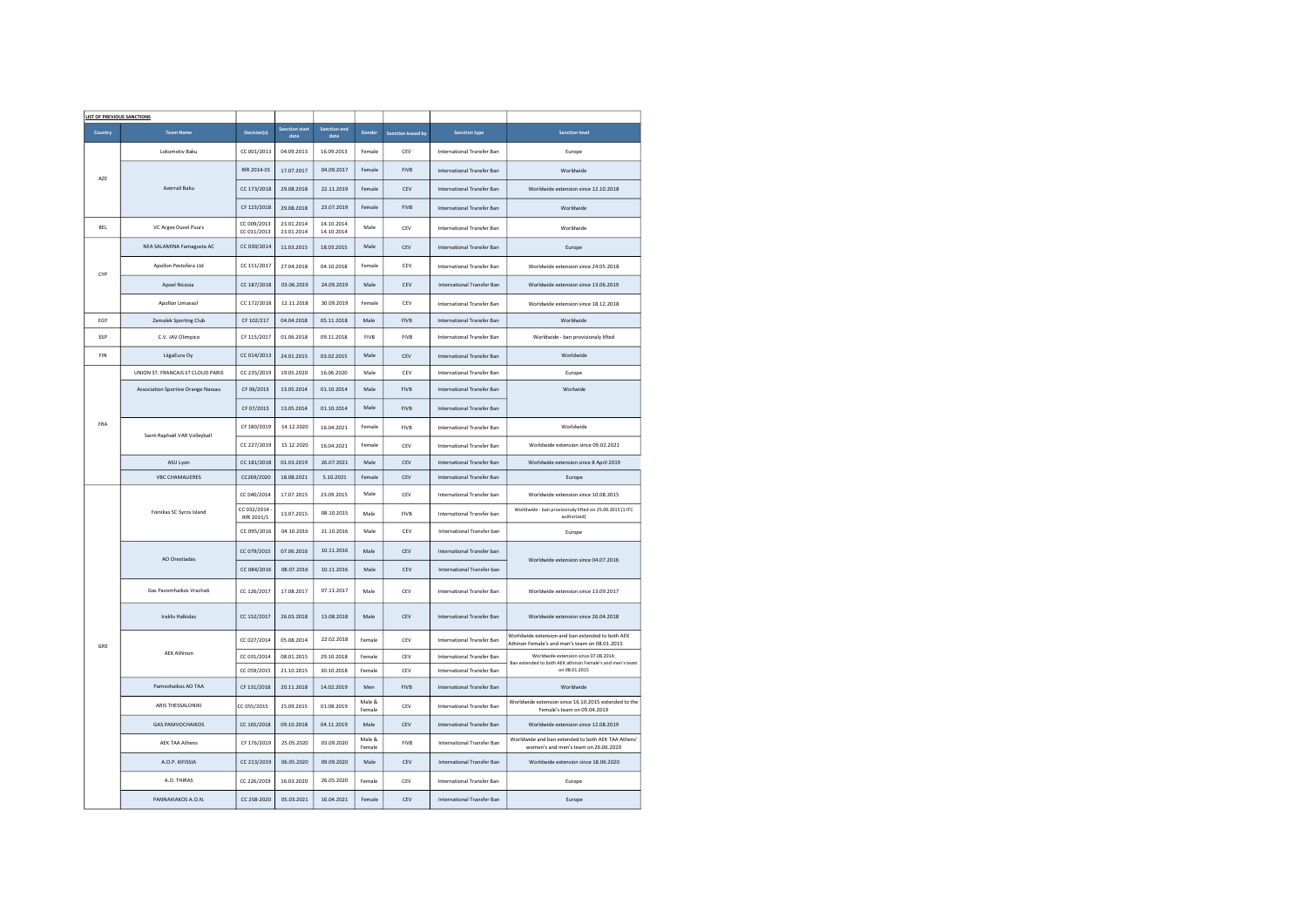| <b>LIST OF PREVIOUS SANCTIONS</b> |                                           |                            |                               |                             |                  |                           |                            |                                                                                                   |
|-----------------------------------|-------------------------------------------|----------------------------|-------------------------------|-----------------------------|------------------|---------------------------|----------------------------|---------------------------------------------------------------------------------------------------|
| Country                           | <b>Team Name</b>                          | Decision(s)                | <b>Sanction start</b><br>date | <b>Sanction end</b><br>date | Gender           | <b>Sanction Issued by</b> | <b>Sanction type</b>       | <b>Sanction level</b>                                                                             |
|                                   | Lokomotiv Baku                            | CC 001/2013                | 04.09.2013                    | 16.09.2013                  | Female           | CEV                       | International Transfer Ban | Europe                                                                                            |
| AZE                               |                                           | RfR 2014-01                | 17.07.2017                    | 04.09.2017                  | Female           | <b>FIVR</b>               | International Transfer Ban | Worldwide                                                                                         |
|                                   | Azerrail Baku                             | CC 173/2018                | 29.08.2018                    | 22.11.2019                  | Female           | CFV                       | International Transfer Ban | Worldwide extension since 12.10.2018                                                              |
|                                   |                                           | CF 123/2018                | 29.08.2018                    | 23.07.2019                  | Female           | <b>FIVB</b>               | International Transfer Ban | Worldwide                                                                                         |
| BEL                               | VC Argex Duvel Puurs                      | CC 009/2013<br>CC 011/2013 | 23.01.2014<br>23.01.2014      | 14.10.2014<br>14.10.2014    | Male             | CEV                       | International Transfer Ban | Worldwide                                                                                         |
|                                   | NEA SALAMINA Famagusta AC                 | CC 030/2014                | 11.03.2015                    | 18.03.2015                  | Male             | CEV                       | International Transfer Ban | Europe                                                                                            |
|                                   | Apollon Pestofera Ltd                     | CC 151/2017                | 27.04.2018                    | 04.10.2018                  | Female           | CFV                       | International Transfer Ban | Worldwide extension since 24.05.2018                                                              |
| CYP                               | Apoel Nicosia                             | CC 187/2018                | 03.06.2019                    | 24.09.2019                  | Male             | CEV                       | International Transfer Ban | Worldwide extension since 13.06.2019                                                              |
|                                   | Apollon Limassol                          | CC 172/2018                | 12.11.2018                    | 30.09.2019                  | Female           | CEV                       | International Transfer Ban | Worldwide extension since 18.12.2018                                                              |
| EGY                               | Zamalek Sporting Club                     | CF 102/217                 | 04.04.2018                    | 05.11.2018                  | Male             | <b>FIVB</b>               | International Transfer Ban | Worldwide                                                                                         |
| ESP                               | C.V. JAV Olimpico                         | CF 115/2017                | 01.06.2018                    | 09.11.2018                  | <b>FIVB</b>      | <b>FIVB</b>               | International Transfer Ban | Worldwide - ban provisionaly lifted                                                               |
| FIN                               | LiigaEura Oy                              | CC 014/2013                | 24.01.2015                    | 03.02.2015                  | Male             | CEV                       | International Transfer Ban | Worldwide                                                                                         |
|                                   | UNION ST. FRANCAIS ST CLOUD PARIS         | CC 235/2019                | 19.05.2020                    | 16.06.2020                  | Male             | CEV                       | International Transfer Ban | Europe                                                                                            |
|                                   | <b>Association Sportive Orange Nassau</b> | CF 06/2013                 | 13.05.2014                    | 01 10 2014                  | Male             | <b>FIVR</b>               | International Transfer Ban | Worlwide                                                                                          |
|                                   |                                           | CF 07/2013                 | 13.05.2014                    | 01.10.2014                  | Male             | <b>FIVB</b>               | International Transfer Ban |                                                                                                   |
| FRA                               | Saint-Raphaël VAR Volleyball              | CF 180/2019                | 14 12 2020                    | 16.04.2021                  | Female           | <b>FIVB</b>               | International Transfer Ban | Worldwide                                                                                         |
|                                   |                                           | CC 227/2019                | 15.12.2020                    | 16.04.2021                  | Female           | CEV                       | International Transfer Ban | Worldwide extension since 09.02.2021                                                              |
|                                   | ASU Lyon                                  | CC 181/2018                | 01.03.2019                    | 26.07.2021                  | Male             | CEV                       | International Transfer Ban | Worldwide extension since 8 April 2019                                                            |
|                                   | <b>VBC CHAMALIERES</b>                    | CC269/2020                 | 18.08.2021                    | 5.10.2021                   | Female           | CEV                       | International Transfer Ban | Europe                                                                                            |
|                                   | Foinikas SC Syros Island                  | CC 040/2014                | 17.07.2015                    | 23.09.2015                  | Male             | CEV                       | International Transfer ban | Worldwide extension since 10.08.2015                                                              |
|                                   |                                           | CC 032/2014<br>RfR 2015/1  | 13.07.2015                    | 08.10.2015                  | Male             | <b>FIVB</b>               | International Transfer ban | Worldwide - ban provisionaly lifted on 25.09.2015 (1 ITC<br>authorized)                           |
|                                   |                                           | CC 095/2016                | 04.10.2016                    | 21.10.2016                  | Male             | CEV                       | International Transfer ban | Europe                                                                                            |
|                                   |                                           | CC 079/2015                | 07.06.2016                    | 10.11.2016                  | Male             | CEV                       | International Transfer ban |                                                                                                   |
|                                   | AO Orestiadas                             | CC 084/2016                | 08.07.2016                    | 10.11.2016                  | Male             | CFV                       | International Transfer ban | Worldwide extension since 04.07.2016                                                              |
|                                   | Gas Pavomhaikos Vrachati                  | CC 126/2017                | 17.08.2017                    | 07.11.2017                  | Male             | CEV                       | International Transfer Ban | Worldwide extension since 13.09.2017                                                              |
|                                   | <b>Iraklis Halkidas</b>                   | CC 152/2017                | 26.03.2018                    | 13.08.2018                  | Male             | CEV                       | International Transfer Ban | Worldwide extension since 26.04.2018                                                              |
| GRE                               |                                           | CC 027/2014                | 05.08.2014                    | 22.02.2018                  | Female           | CEV                       | International Transfer Ban | Worldwide extension and ban extended to both AEK<br>Athinon Female's and men's team on 08.01.2015 |
|                                   | <b>AEK Athinon</b>                        | CC 031/2014                | 08.01.2015                    | 29.10.2018                  | Female           | CEV                       | International Transfer Ban | Worldwide extension since 07.08.2014;<br>Ban extended to both AEK athinon Female's and men's team |
|                                   |                                           | CC 059/2015                | 21.10.2015                    | 30.10.2018                  | Female           | CEV                       | International Transfer Ban | on 08.01.2015                                                                                     |
|                                   | Pamvohaikos AO TAA                        | CF 131/2018                | 20.11.2018                    | 14.02.2019                  | Men              | <b>FIVB</b>               | International Transfer Ban | Worldwide                                                                                         |
|                                   | ARIS THESSALONIKI                         | CC 055/2015                | 25.09.2015                    | 01.08.2019                  | Male &<br>Female | CEV                       | International Transfer Ban | Worldwide extension since 16.10.2015 extended to the<br>Female's team on 09.04.2019               |
|                                   | <b>GAS PAMVOCHAIKOS</b>                   | CC 165/2018                | 09.10.2018                    | 04.11.2019                  | Male             | CEV                       | International Transfer Ban | Worldwide extension since 12.08.2019                                                              |
|                                   | <b>AEK TAA Athens</b>                     | CF 176/2019                | 25.05.2020                    | 03.09.2020                  | Male &<br>Female | <b>FIVB</b>               | International Transfer Ban | Worldwide and ban extended to both AEK TAA Athens'<br>women's and men's team on 26.06.2020        |
|                                   | A.O.P. KIFISSIA                           | CC 213/2019                | 06.05.2020                    | 09.09.2020                  | Male             | CEV                       | International Transfer Ban | Worldwide extension since 18.06.2020                                                              |
|                                   | A.O. THIRAS                               | CC 226/2019                | 16.03.2020                    | 26.05.2020                  | Female           | CFV                       | International Transfer Ban | Europe                                                                                            |
|                                   | PANNAXIAKOS A.O.N.                        | CC 258-2020                | 05.03.2021                    | 16.04.2021                  | Female           | CEV                       | International Transfer Ban | Europe                                                                                            |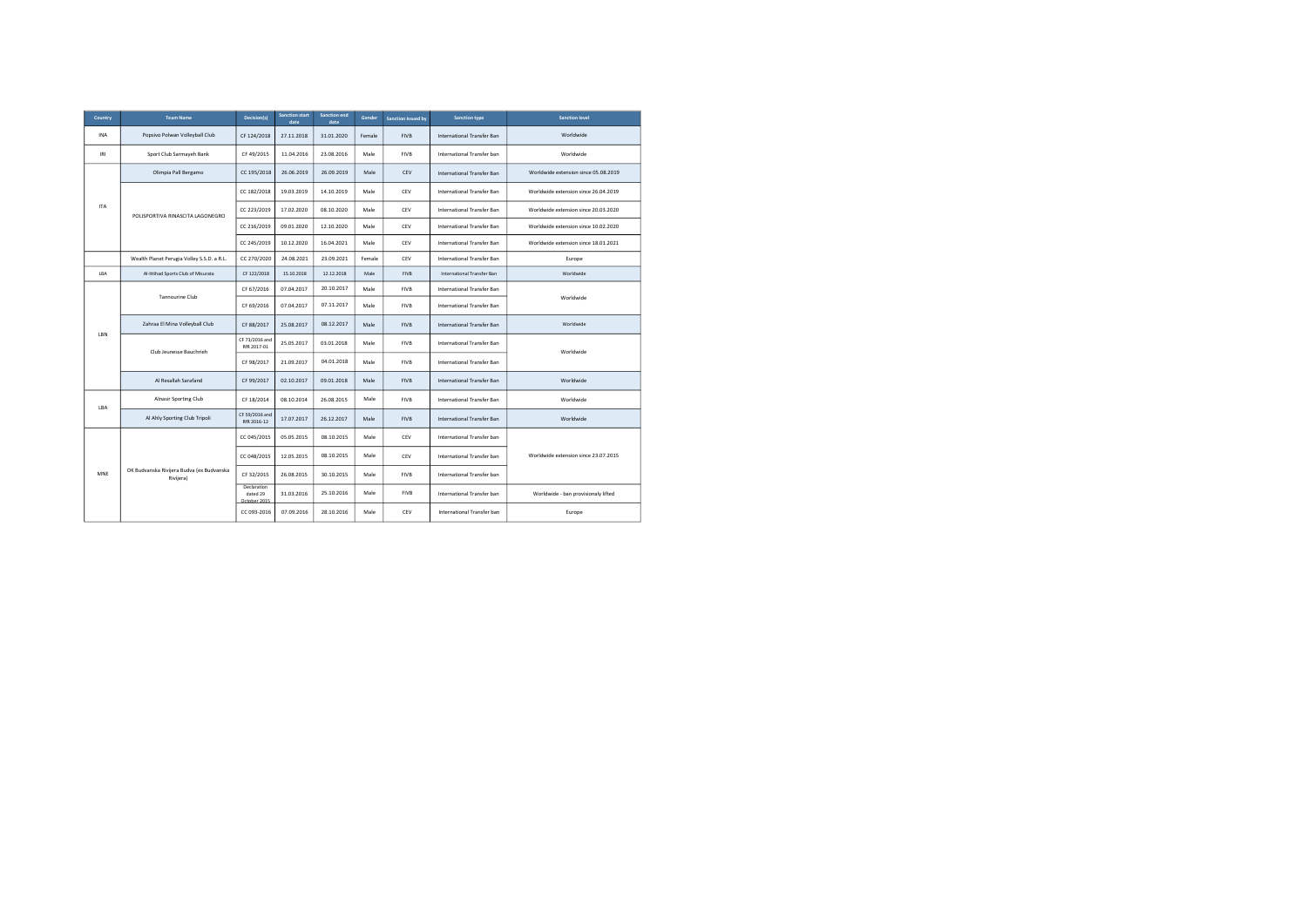| Country    | <b>Team Name</b>                                       | Decision(s)                             | <b>Sanction start</b><br>date | <b>Sanction end</b><br>date | Gender | <b>Sanction Issued by</b> | <b>Sanction type</b>              | <b>Sanction level</b>                |
|------------|--------------------------------------------------------|-----------------------------------------|-------------------------------|-----------------------------|--------|---------------------------|-----------------------------------|--------------------------------------|
| <b>INA</b> | Popsivo Polwan Volleyball Club                         | CF 124/2018                             | 27.11.2018                    | 31.01.2020                  | Female | <b>FIVB</b>               | International Transfer Ban        | Worldwide                            |
| IRI        | Sport Club Sarmayeh Bank                               | CF 49/2015                              | 11.04.2016                    | 23.08.2016                  | Male   | <b>FIVB</b>               | International Transfer ban        | Worldwide                            |
|            | Olimpia Pall Bergamo                                   | CC 195/2018                             | 26.06.2019                    | 26.09.2019                  | Male   | CEV                       | <b>International Transfer Ban</b> | Worldwide extension since 05.08.2019 |
|            |                                                        | CC 182/2018                             | 19.03.2019                    | 14.10.2019                  | Male   | CEV                       | International Transfer Ban        | Worldwide extension since 26.04.2019 |
| <b>ITA</b> | POLISPORTIVA RINASCITA LAGONEGRO                       | CC 223/2019                             | 17.02.2020                    | 08.10.2020                  | Male   | CEV                       | International Transfer Ban        | Worldwide extension since 20.03.2020 |
|            |                                                        | CC 216/2019                             | 09.01.2020                    | 12.10.2020                  | Male   | CEV                       | International Transfer Ban        | Worldwide extension since 10.02.2020 |
|            |                                                        | CC 245/2019                             | 10.12.2020                    | 16.04.2021                  | Male   | CEV                       | International Transfer Ban        | Worldwide extension since 18.01.2021 |
|            | Wealth Planet Perugia Volley S.S.D. a R.L.             | CC 270/2020                             | 24.08.2021                    | 23.09.2021                  | Female | CEV                       | International Transfer Ban        | Europe                               |
| LBA        | Al-Ittihad Sports Club of Misurata                     | CF 122/2018                             | 15.10.2018                    | 12.12.2018                  | Male   | <b>FIVB</b>               | International Transfer Ban        | Worldwide                            |
|            | <b>Tannourine Club</b>                                 | CF 67/2016                              | 07.04.2017                    | 20.10.2017                  | Male   | <b>FIVB</b>               | International Transfer Ban        |                                      |
|            |                                                        | CF 69/2016                              | 07.04.2017                    | 07.11.2017                  | Male   | <b>FIVB</b>               | International Transfer Ban        | Worldwide                            |
|            | Zahraa El Mina Volleyball Club                         | CF 88/2017                              | 25.08.2017                    | 08.12.2017                  | Male   | <b>FIVB</b>               | International Transfer Ban        | Worldwide                            |
| LBN        | Club Jeunesse Bauchrieh                                | CF 73/2016 and<br>RfR 2017-01           | 25.05.2017                    | 03.01.2018                  | Male   | <b>FIVB</b>               | International Transfer Ban        | Worldwide                            |
|            |                                                        | CF 98/2017                              | 21.09.2017                    | 04.01.2018                  | Male   | <b>FIVB</b>               | International Transfer Ban        |                                      |
|            | Al Resallah Sarafand                                   | CF 99/2017                              | 02.10.2017                    | 09.01.2018                  | Male   | <b>FIVB</b>               | International Transfer Ban        | Worldwide                            |
| LBA        | Alnasir Sporting Club                                  | CF 18/2014                              | 08.10.2014                    | 26.08.2015                  | Male   | <b>FIVB</b>               | International Transfer Ban        | Worldwide                            |
|            | Al Ahly Sporting Club Tripoli                          | CF 59/2016 and<br>RfR 2016-12           | 17.07.2017                    | 26.12.2017                  | Male   | <b>FIVB</b>               | International Transfer Ban        | Worldwide                            |
|            |                                                        | CC 045/2015                             | 05.05.2015                    | 08.10.2015                  | Male   | CEV                       | International Transfer ban        |                                      |
|            |                                                        | CC 048/2015                             | 12.05.2015                    | 08.10.2015                  | Male   | CEV                       | International Transfer ban        | Worldwide extension since 23.07.2015 |
| MNE        | OK Budvanska Rivijera Budva (ex Budvanska<br>Rivijera) | CF 32/2015                              | 26.08.2015                    | 30.10.2015                  | Male   | <b>FIVB</b>               | International Transfer ban        |                                      |
|            |                                                        | Declaration<br>dated 29<br>October 2015 | 31.03.2016                    | 25.10.2016                  | Male   | <b>FIVB</b>               | International Transfer ban        | Worldwide - ban provisionaly lifted  |
|            |                                                        | CC 093-2016                             | 07.09.2016                    | 28.10.2016                  | Male   | CEV                       | International Transfer ban        | Europe                               |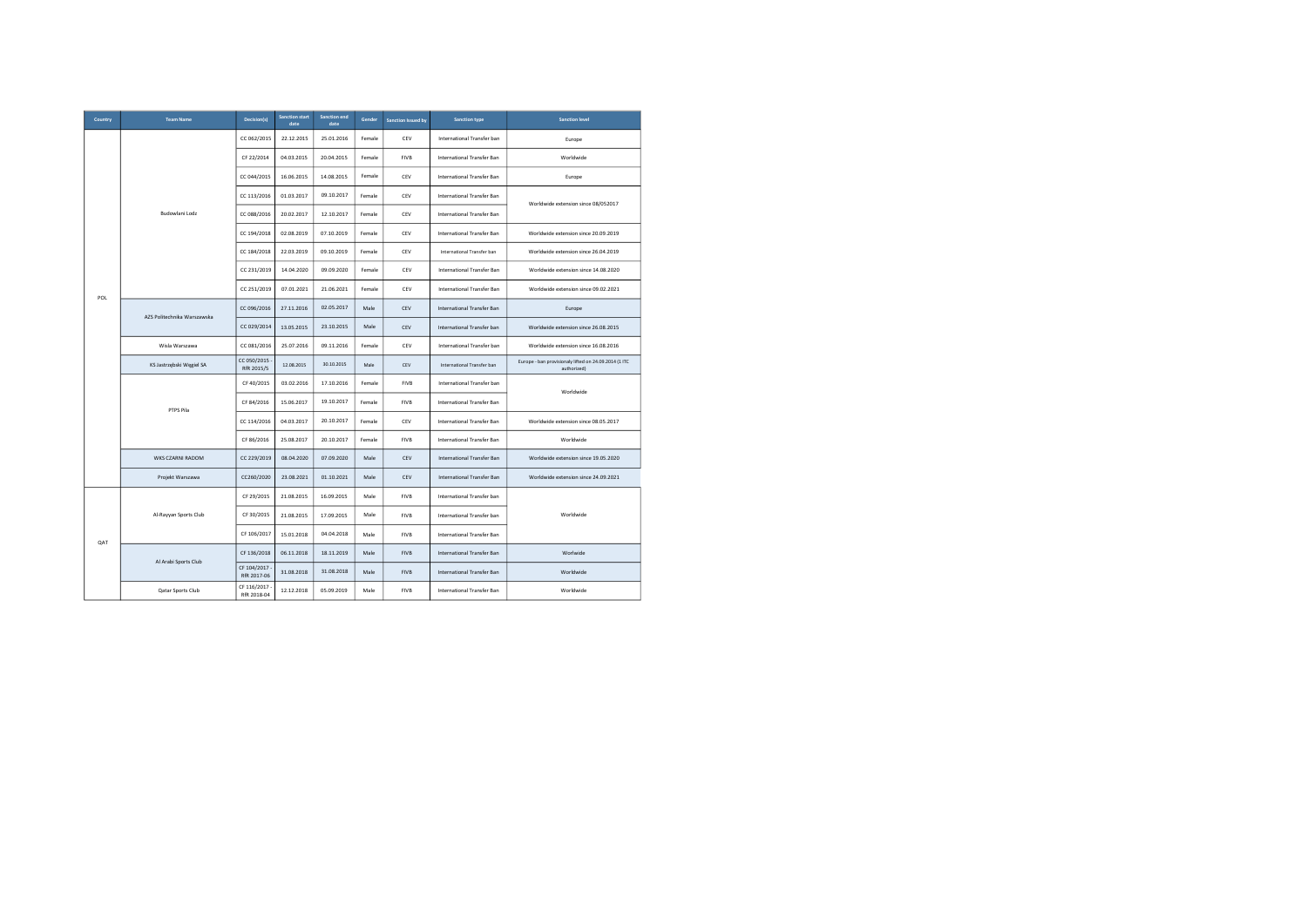| Country | <b>Team Name</b>            | Decision(s)                | <b>Sanction start</b><br>date | Sanction end<br>date | Gender | <b>Sanction Issued by</b> | <b>Sanction type</b>              | <b>Sanction level</b>                                                |
|---------|-----------------------------|----------------------------|-------------------------------|----------------------|--------|---------------------------|-----------------------------------|----------------------------------------------------------------------|
|         |                             | CC 062/2015                | 22.12.2015                    | 25.01.2016           | Female | CEV                       | International Transfer ban        | Europe                                                               |
|         |                             | CF 22/2014                 | 04.03.2015                    | 20.04.2015           | Female | <b>FIVB</b>               | International Transfer Ban        | Worldwide                                                            |
|         |                             | CC 044/2015                | 16.06.2015                    | 14.08.2015           | Female | CEV                       | International Transfer Ban        | Europe                                                               |
|         |                             | CC 113/2016                | 01.03.2017                    | 09.10.2017           | Female | CEV                       | International Transfer Ban        | Worldwide extension since 08/052017                                  |
|         | Budowlani Lodz              | CC 088/2016                | 20.02.2017                    | 12.10.2017           | Female | CEV                       | International Transfer Ban        |                                                                      |
|         |                             | CC 194/2018                | 02.08.2019                    | 07.10.2019           | Female | CEV                       | International Transfer Ban        | Worldwide extension since 20.09.2019                                 |
|         |                             | CC 184/2018                | 22.03.2019                    | 09.10.2019           | Female | CEV                       | International Transfer ban        | Worldwide extension since 26.04.2019                                 |
|         |                             | CC 231/2019                | 14.04.2020                    | 09.09.2020           | Female | CEV                       | International Transfer Ban        | Worldwide extension since 14.08.2020                                 |
| POL     |                             | CC 251/2019                | 07.01.2021                    | 21.06.2021           | Female | CEV                       | International Transfer Ban        | Worldwide extension since 09.02.2021                                 |
|         | AZS Politechnika Warszawska | CC 096/2016                | 27.11.2016                    | 02.05.2017           | Male   | CEV                       | International Transfer Ban        | Europe                                                               |
|         |                             | CC 029/2014                | 13.05.2015                    | 23.10.2015           | Male   | CEV                       | International Transfer ban        | Worldwide extension since 26.08.2015                                 |
|         | Wisla Warszawa              | CC 081/2016                | 25.07.2016                    | 09.11.2016           | Female | CEV                       | International Transfer ban        | Worldwide extension since 16.08.2016                                 |
|         | KS Jastrzębski Węgiel SA    | CC 050/2015<br>RfR 2015/5  | 12.08.2015                    | 30.10.2015           | Male   | CEV                       | International Transfer ban        | Europe - ban provisionaly lifted on 24.09.2014 (1 ITC<br>authorized) |
|         |                             | CF 40/2015                 | 03.02.2016                    | 17.10.2016           | Female | <b>FIVB</b>               | International Transfer ban        | Worldwide                                                            |
|         | PTPS Pila                   | CF 84/2016                 | 15.06.2017                    | 19.10.2017           | Female | <b>FIVB</b>               | International Transfer Ban        |                                                                      |
|         |                             | CC 114/2016                | 04.03.2017                    | 20.10.2017           | Female | CEV                       | International Transfer Ban        | Worldwide extension since 08.05.2017                                 |
|         |                             | CF 86/2016                 | 25.08.2017                    | 20.10.2017           | Female | <b>FIVB</b>               | International Transfer Ban        | Worldwide                                                            |
|         | WKS CZARNI RADOM            | CC 229/2019                | 08.04.2020                    | 07.09.2020           | Male   | CEV                       | International Transfer Ban        | Worldwide extension since 19.05.2020                                 |
|         | Projekt Warszawa            | CC260/2020                 | 23.08.2021                    | 01.10.2021           | Male   | CEV                       | <b>International Transfer Ban</b> | Worldwide extension since 24.09.2021                                 |
|         |                             | CF 29/2015                 | 21.08.2015                    | 16.09.2015           | Male   | <b>FIVB</b>               | International Transfer ban        |                                                                      |
|         | Al-Rayyan Sports Club       | CF 30/2015                 | 21.08.2015                    | 17.09.2015           | Male   | <b>FIVB</b>               | International Transfer ban        | Worldwide                                                            |
| QAT     |                             | CF 106/2017                | 15.01.2018                    | 04.04.2018           | Male   | <b>FIVB</b>               | International Transfer Ban        |                                                                      |
|         | Al Arabi Sports Club        | CF 136/2018                | 06.11.2018                    | 18.11.2019           | Male   | <b>FIVB</b>               | <b>International Transfer Ban</b> | Worlwide                                                             |
|         |                             | CF 104/2017<br>RfR 2017-06 | 31.08.2018                    | 31.08.2018           | Male   | FIVB                      | International Transfer Ban        | Worldwide                                                            |
|         | Qatar Sports Club           | CF 116/2017<br>RfR 2018-04 | 12.12.2018                    | 05.09.2019           | Male   | <b>FIVB</b>               | International Transfer Ban        | Worldwide                                                            |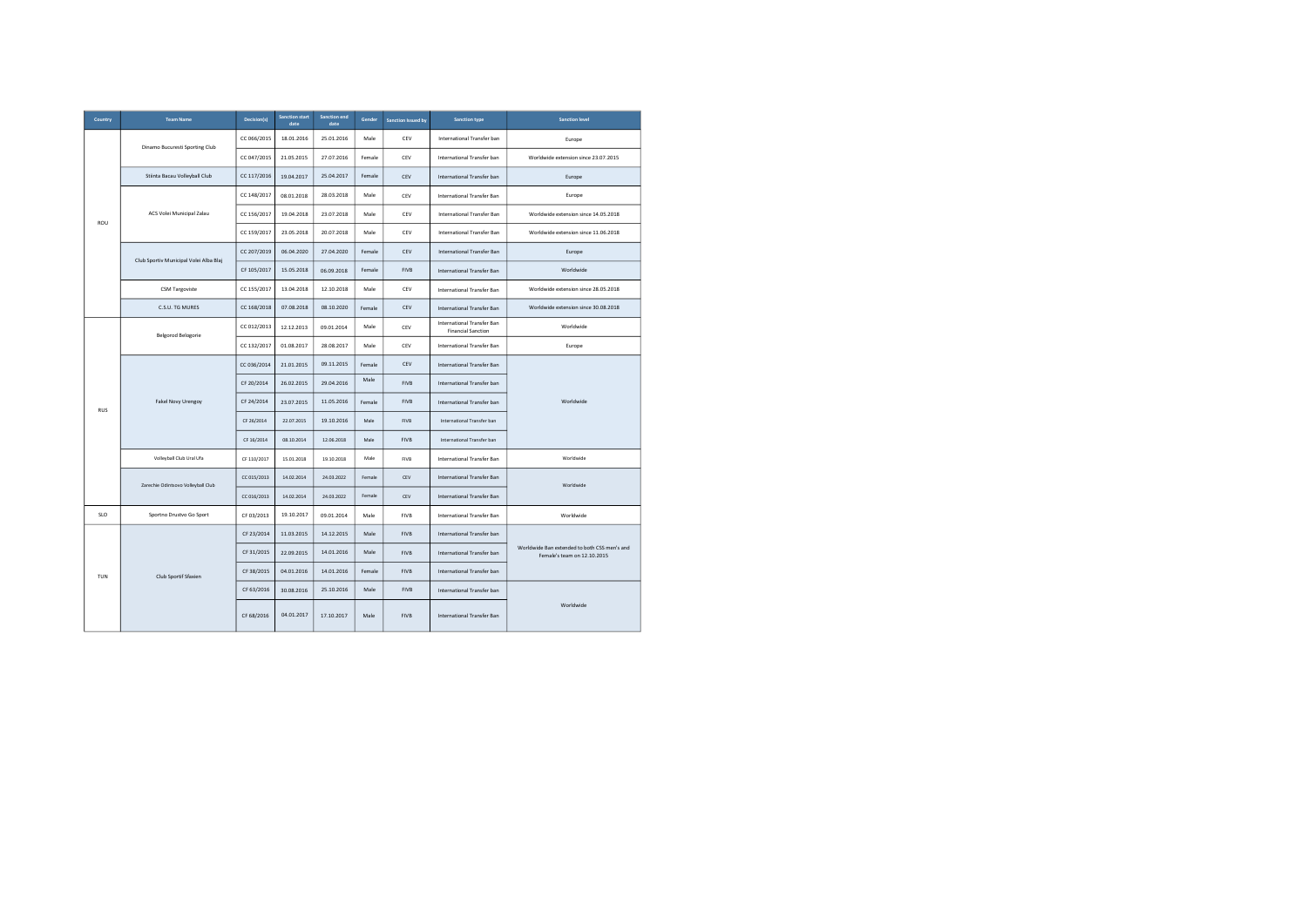| Country    | <b>Team Name</b>                       | Decision(s) | <b>Sanction start</b><br>date | Sanction end<br>date | Gender | <b>Sanction Issued by</b> | <b>Sanction type</b>                                    | <b>Sanction level</b>                                                       |
|------------|----------------------------------------|-------------|-------------------------------|----------------------|--------|---------------------------|---------------------------------------------------------|-----------------------------------------------------------------------------|
|            | Dinamo Bucuresti Sporting Club         | CC 066/2015 | 18.01.2016                    | 25.01.2016           | Male   | CEV                       | International Transfer ban                              | Europe                                                                      |
|            |                                        | CC 047/2015 | 21.05.2015                    | 27.07.2016           | Female | CEV                       | International Transfer ban                              | Worldwide extension since 23.07.2015                                        |
|            | Stiinta Bacau Volleyball Club          | CC 117/2016 | 19.04.2017                    | 25.04.2017           | Female | CEV                       | International Transfer ban                              | Europe                                                                      |
|            |                                        | CC 148/2017 | 08.01.2018                    | 28.03.2018           | Male   | CEV                       | International Transfer Ban                              | Europe                                                                      |
| ROU        | ACS Volei Municipal Zalau              | CC 156/2017 | 19.04.2018                    | 23.07.2018           | Male   | CEV                       | International Transfer Ban                              | Worldwide extension since 14.05.2018                                        |
|            |                                        | CC 159/2017 | 23.05.2018                    | 20.07.2018           | Male   | CEV                       | International Transfer Ban                              | Worldwide extension since 11.06.2018                                        |
|            | Club Sportiv Municipal Volei Alba Blaj | CC 207/2019 | 06.04.2020                    | 27.04.2020           | Female | CEV                       | International Transfer Ban                              | Europe                                                                      |
|            |                                        | CF 105/2017 | 15.05.2018                    | 06.09.2018           | Female | <b>FIVB</b>               | International Transfer Ban                              | Worldwide                                                                   |
|            | <b>CSM Targoviste</b>                  | CC 155/2017 | 13.04.2018                    | 12.10.2018           | Male   | CEV                       | International Transfer Ban                              | Worldwide extension since 28.05.2018                                        |
|            | C.S.U. TG MURES                        | CC 168/2018 | 07.08.2018                    | 08.10.2020           | Female | CEV                       | <b>International Transfer Ban</b>                       | Worldwide extension since 30.08.2018                                        |
|            | <b>Belgorod Belogorie</b>              | CC 012/2013 | 12.12.2013                    | 09.01.2014           | Male   | CEV                       | International Transfer Ban<br><b>Financial Sanction</b> | Worldwide                                                                   |
|            |                                        | CC 132/2017 | 01.08.2017                    | 28.08.2017           | Male   | CEV                       | International Transfer Ban                              | Europe                                                                      |
|            |                                        | CC 036/2014 | 21.01.2015                    | 09.11.2015           | Female | CEV                       | International Transfer Ban                              |                                                                             |
|            | Fakel Novy Urengoy                     | CF 20/2014  | 26.02.2015                    | 29.04.2016           | Male   | <b>FIVB</b>               | International Transfer ban                              |                                                                             |
| <b>RUS</b> |                                        | CF 24/2014  | 23.07.2015                    | 11.05.2016           | Female | <b>FIVB</b>               | International Transfer ban                              | Worldwide                                                                   |
|            |                                        | CF 26/2014  | 22.07.2015                    | 19.10.2016           | Male   | <b>FIVB</b>               | International Transfer ban                              |                                                                             |
|            |                                        | CF 16/2014  | 08.10.2014                    | 12.06.2018           | Male   | <b>FIVB</b>               | International Transfer ban                              |                                                                             |
|            | Volleyball Club Ural Ufa               | CF 110/2017 | 15.01.2018                    | 19.10.2018           | Male   | FIVB                      | International Transfer Ban                              | Worldwide                                                                   |
|            | Zarechie Odintsovo Volleyball Club     | CC 015/2013 | 14.02.2014                    | 24.03.2022           | Female | CEV                       | International Transfer Ban                              | Worldwide                                                                   |
|            |                                        | CC 016/2013 | 14.02.2014                    | 24.03.2022           | Female | CEV                       | International Transfer Ban                              |                                                                             |
| <b>SLO</b> | Sportno Drustvo Go Sport               | CF 03/2013  | 19.10.2017                    | 09.01.2014           | Male   | <b>FIVB</b>               | International Transfer Ban                              | Worldwide                                                                   |
|            |                                        | CF 23/2014  | 11.03.2015                    | 14.12.2015           | Male   | <b>FIVB</b>               | International Transfer ban                              |                                                                             |
|            |                                        | CF 31/2015  | 22.09.2015                    | 14.01.2016           | Male   | <b>FIVB</b>               | International Transfer ban                              | Worldwide Ban extended to both CSS men's and<br>Female's team on 12.10.2015 |
| TUN        | Club Sportif Sfaxien                   | CF 38/2015  | 04.01.2016                    | 14.01.2016           | Female | <b>FIVB</b>               | International Transfer ban                              |                                                                             |
|            |                                        | CF 63/2016  | 30.08.2016                    | 25.10.2016           | Male   | <b>FIVB</b>               | International Transfer ban                              |                                                                             |
|            |                                        | CF 68/2016  | 04.01.2017                    | 17.10.2017           | Male   | <b>FIVB</b>               | International Transfer Ban                              | Worldwide                                                                   |